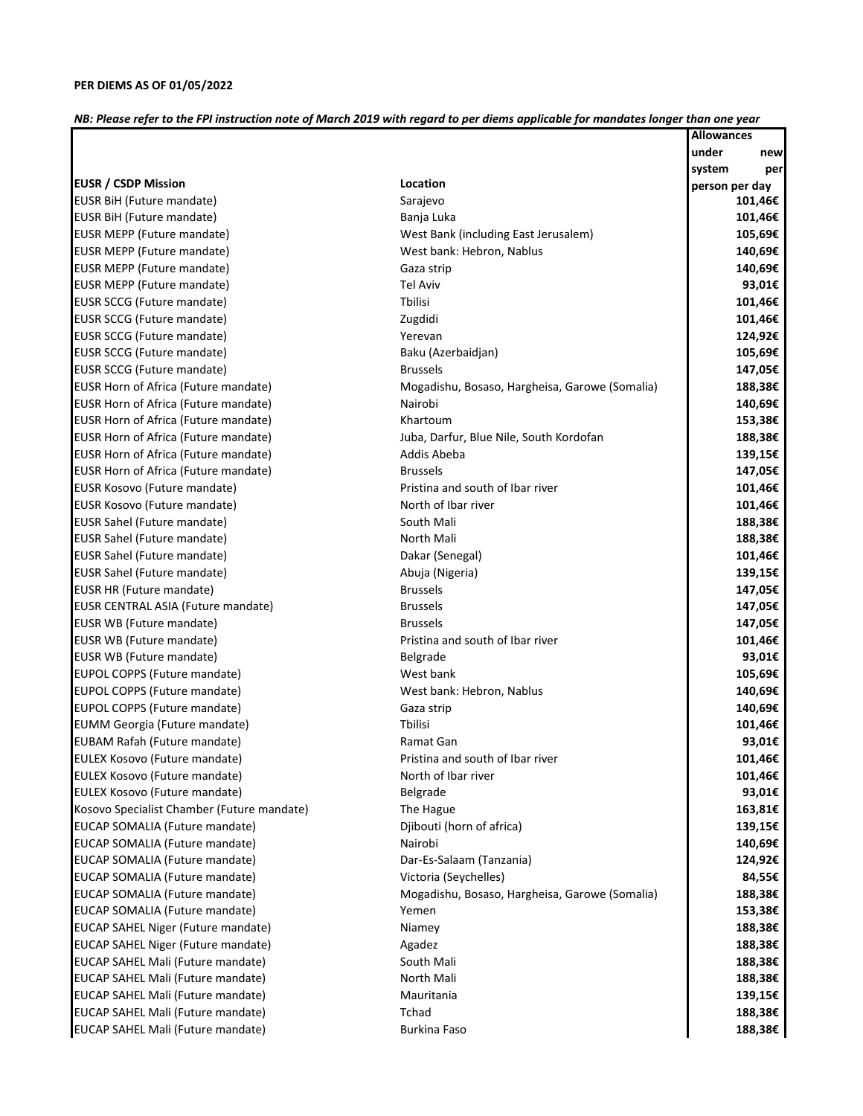## *NB: Please refer to the FPI instruction note of March 2019 with regard to per diems applicable for mandates longer than one year*

|                                            |                                                | <b>Allowances</b> |         |
|--------------------------------------------|------------------------------------------------|-------------------|---------|
|                                            |                                                | under             | new     |
|                                            |                                                | system            | per     |
| <b>EUSR / CSDP Mission</b>                 | Location                                       | person per day    |         |
| EUSR BiH (Future mandate)                  | Sarajevo                                       |                   | 101,46€ |
| <b>EUSR BiH (Future mandate)</b>           | Banja Luka                                     |                   | 101,46€ |
| EUSR MEPP (Future mandate)                 | West Bank (including East Jerusalem)           |                   | 105,69€ |
| EUSR MEPP (Future mandate)                 | West bank: Hebron, Nablus                      |                   | 140,69€ |
| EUSR MEPP (Future mandate)                 | Gaza strip                                     |                   | 140,69€ |
| EUSR MEPP (Future mandate)                 | <b>Tel Aviv</b>                                |                   | 93,01€  |
| EUSR SCCG (Future mandate)                 | <b>T</b> bilisi                                |                   | 101,46€ |
| EUSR SCCG (Future mandate)                 | Zugdidi                                        |                   | 101,46€ |
| EUSR SCCG (Future mandate)                 | Yerevan                                        |                   | 124,92€ |
| EUSR SCCG (Future mandate)                 | Baku (Azerbaidjan)                             |                   | 105,69€ |
| EUSR SCCG (Future mandate)                 | <b>Brussels</b>                                |                   | 147,05€ |
| EUSR Horn of Africa (Future mandate)       | Mogadishu, Bosaso, Hargheisa, Garowe (Somalia) |                   | 188,38€ |
| EUSR Horn of Africa (Future mandate)       | Nairobi                                        |                   | 140,69€ |
| EUSR Horn of Africa (Future mandate)       | Khartoum                                       |                   | 153,38€ |
| EUSR Horn of Africa (Future mandate)       | Juba, Darfur, Blue Nile, South Kordofan        |                   | 188,38€ |
| EUSR Horn of Africa (Future mandate)       | Addis Abeba                                    |                   | 139,15€ |
| EUSR Horn of Africa (Future mandate)       | <b>Brussels</b>                                |                   | 147,05€ |
| EUSR Kosovo (Future mandate)               | Pristina and south of Ibar river               |                   | 101,46€ |
| EUSR Kosovo (Future mandate)               | North of Ibar river                            |                   | 101,46€ |
| EUSR Sahel (Future mandate)                | South Mali                                     |                   | 188,38€ |
| EUSR Sahel (Future mandate)                | North Mali                                     |                   | 188,38€ |
| EUSR Sahel (Future mandate)                | Dakar (Senegal)                                |                   | 101,46€ |
| EUSR Sahel (Future mandate)                | Abuja (Nigeria)                                |                   | 139,15€ |
| <b>EUSR HR (Future mandate)</b>            | <b>Brussels</b>                                |                   | 147,05€ |
| EUSR CENTRAL ASIA (Future mandate)         | <b>Brussels</b>                                |                   | 147,05€ |
| EUSR WB (Future mandate)                   | <b>Brussels</b>                                |                   | 147,05€ |
| EUSR WB (Future mandate)                   | Pristina and south of Ibar river               |                   | 101,46€ |
| EUSR WB (Future mandate)                   | Belgrade                                       |                   | 93,01€  |
| EUPOL COPPS (Future mandate)               | West bank                                      |                   | 105,69€ |
| EUPOL COPPS (Future mandate)               | West bank: Hebron, Nablus                      |                   | 140,69€ |
| EUPOL COPPS (Future mandate)               | Gaza strip                                     |                   | 140,69€ |
| EUMM Georgia (Future mandate)              | <b>Thilisi</b>                                 |                   | 101,46€ |
| EUBAM Rafah (Future mandate)               | Ramat Gan                                      |                   | 93,01€  |
| EULEX Kosovo (Future mandate)              | Pristina and south of Ibar river               |                   | 101,46€ |
| EULEX Kosovo (Future mandate)              | North of Ibar river                            |                   | 101,46€ |
| EULEX Kosovo (Future mandate)              | Belgrade                                       |                   | 93,01€  |
| Kosovo Specialist Chamber (Future mandate) | The Hague                                      |                   | 163,81€ |
| EUCAP SOMALIA (Future mandate)             | Djibouti (horn of africa)                      |                   | 139,15€ |
| EUCAP SOMALIA (Future mandate)             | Nairobi                                        |                   | 140,69€ |
| EUCAP SOMALIA (Future mandate)             | Dar-Es-Salaam (Tanzania)                       |                   | 124,92€ |
| EUCAP SOMALIA (Future mandate)             | Victoria (Seychelles)                          |                   | 84,55€  |
| EUCAP SOMALIA (Future mandate)             | Mogadishu, Bosaso, Hargheisa, Garowe (Somalia) |                   | 188,38€ |
| EUCAP SOMALIA (Future mandate)             | Yemen                                          |                   | 153,38€ |
| EUCAP SAHEL Niger (Future mandate)         | Niamey                                         |                   | 188,38€ |
| EUCAP SAHEL Niger (Future mandate)         | Agadez                                         |                   | 188,38€ |
| EUCAP SAHEL Mali (Future mandate)          | South Mali                                     |                   | 188,38€ |
| EUCAP SAHEL Mali (Future mandate)          | North Mali                                     |                   | 188,38€ |
| EUCAP SAHEL Mali (Future mandate)          | Mauritania                                     |                   | 139,15€ |
| EUCAP SAHEL Mali (Future mandate)          | Tchad                                          |                   | 188,38€ |
| EUCAP SAHEL Mali (Future mandate)          | Burkina Faso                                   |                   | 188,38€ |